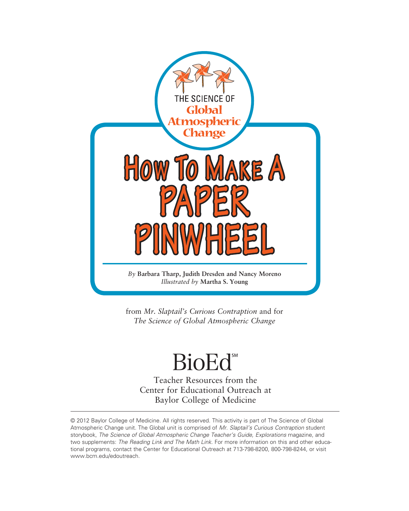

from *Mr. Slaptail's Curious Contraption* and for *The Science of Global Atmospheric Change*

# **BioEd**®

Teacher Resources from the Center for Educational Outreach at Baylor College of Medicine

© 2012 Baylor College of Medicine. All rights reserved. This activity is part of The Science of Global Atmospheric Change unit. The Global unit is comprised of *Mr. Slaptail's Curious Contraption* student storybook, *The Science of Global Atmospheric Change Teacher's Guide, Explorations* magazine, and two supplements: *The Reading Link and The Math Link.* For more information on this and other educational programs, contact the Center for Educational Outreach at 713-798-8200, 800-798-8244, or visit [www.bcm.edu/edoutreach.](www.bcm.edu/edoutreach)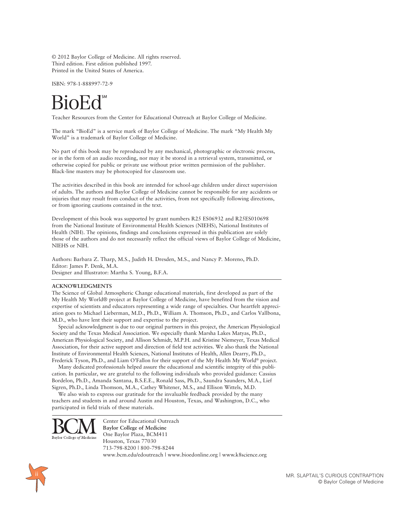© 2012 Baylor College of Medicine. All rights reserved. Third edition. First edition published 1997. Printed in the United States of America.

ISBN: 978-1-888997-72-9

Teacher Resources from the Center for Educational Outreach at Baylor College of Medicine.

The mark "BioEd" is a service mark of Baylor College of Medicine. The mark "My Health My World" is a trademark of Baylor College of Medicine.

No part of this book may be reproduced by any mechanical, photographic or electronic process, or in the form of an audio recording, nor may it be stored in a retrieval system, transmitted, or otherwise copied for public or private use without prior written permission of the publisher. Black-line masters may be photocopied for classroom use.

The activities described in this book are intended for school-age children under direct supervision of adults. The authors and Baylor College of Medicine cannot be responsible for any accidents or injuries that may result from conduct of the activities, from not specifically following directions, or from ignoring cautions contained in the text.

Development of this book was supported by grant numbers R25 ES06932 and R25ES010698 from the National Institute of Environmental Health Sciences (NIEHS), National Institutes of Health (NIH). The opinions, findings and conclusions expressed in this publication are solely those of the authors and do not necessarily reflect the official views of Baylor College of Medicine, NIEHS or NIH.

Authors: Barbara Z. Tharp, M.S., Judith H. Dresden, M.S., and Nancy P. Moreno, Ph.D. Editor: James P. Denk, M.A. Designer and Illustrator: Martha S. Young, B.F.A.

### **ACKNOWLEDGMENTS**

The Science of Global Atmospheric Change educational materials, first developed as part of the My Health My World® project at Baylor College of Medicine, have benefited from the vision and expertise of scientists and educators representing a wide range of specialties. Our heartfelt appreciation goes to Michael Lieberman, M.D., Ph.D., William A. Thomson, Ph.D., and Carlos Vallbona, M.D., who have lent their support and expertise to the project.

Special acknowledgment is due to our original partners in this project, the American Physiological Society and the Texas Medical Association. We especially thank Marsha Lakes Matyas, Ph.D., American Physiological Society, and Allison Schmidt, M.P.H. and Kristine Niemeyer, Texas Medical Association, for their active support and direction of field test activities. We also thank the National Institute of Environmental Health Sciences, National Institutes of Health, Allen Dearry, Ph.D., Frederick Tyson, Ph.D., and Liam O'Fallon for their support of the My Health My World® project.

Many dedicated professionals helped assure the educational and scientific integrity of this publication. In particular, we are grateful to the following individuals who provided guidance: Cassius Bordelon, Ph.D., Amanda Santana, B.S.E.E., Ronald Sass, Ph.D., Saundra Saunders, M.A., Lief Sigren, Ph.D., Linda Thomson, M.A., Cathey Whitener, M.S., and Ellison Wittels, M.D.

We also wish to express our gratitude for the invaluable feedback provided by the many teachers and students in and around Austin and Houston, Texas, and Washington, D.C., who participated in field trials of these materials.



Center for Educational Outreach **Baylor College of Medicine** One Baylor Plaza, BCM411 Houston, Texas 77030 713-798-8200 | 800-798-8244 <www.bcm.edu/edoutreach> |<www.bioedonline.org>| <www.k8science.org>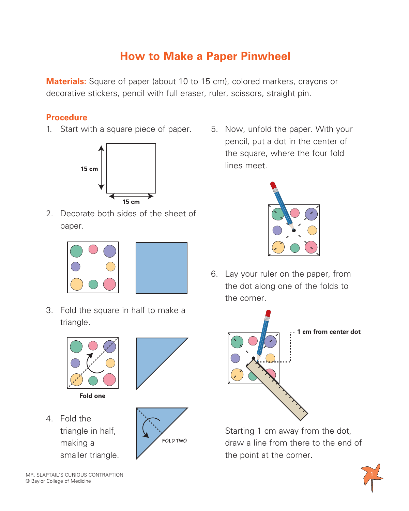## **How to Make a Paper Pinwheel**

**Materials:** Square of paper (about 10 to 15 cm), colored markers, crayons or decorative stickers, pencil with full eraser, ruler, scissors, straight pin.

## **Procedure**

1. Start with a square piece of paper.



2. Decorate both sides of the sheet of paper.





3. Fold the square in half to make a triangle.





4. Fold the triangle in half, making a smaller triangle.



5. Now, unfold the paper. With your pencil, put a dot in the center of the square, where the four fold lines meet.



6. Lay your ruler on the paper, from the dot along one of the folds to the corner.



Starting 1 cm away from the dot, draw a line from there to the end of the point at the corner.